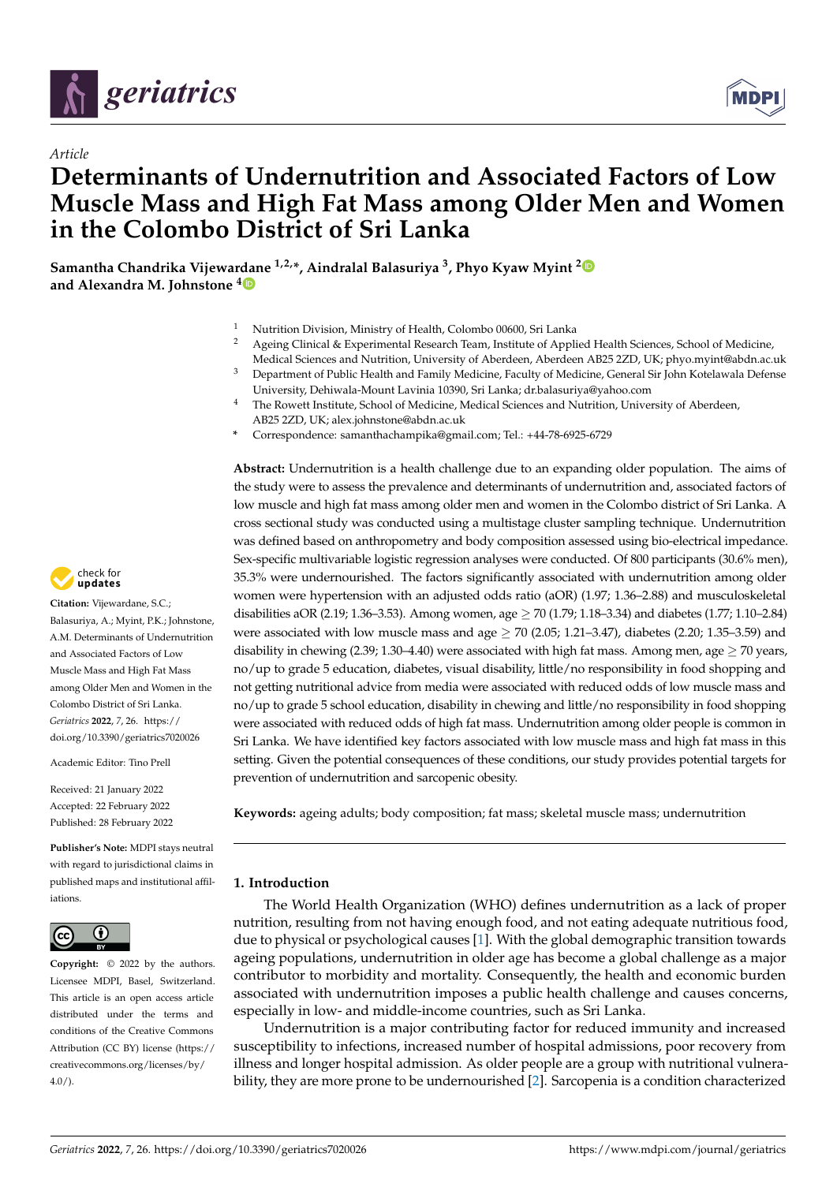

*Article*



# **Determinants of Undernutrition and Associated Factors of Low Muscle Mass and High Fat Mass among Older Men and Women in the Colombo District of Sri Lanka**

**Samantha Chandrika Vijewar[dan](https://orcid.org/0000-0002-5484-292X)e 1,2,\*, Aindralal Balasuriya <sup>3</sup> , Phyo Kyaw Myint [2](https://orcid.org/0000-0003-3852-6158) and Alexandra M. Johnstone <sup>4</sup>**

- 1 Nutrition Division, Ministry of Health, Colombo 00600, Sri Lanka<br>2 Aggins Clinical & Experimental Basearsh Team Institute of Appli
- <sup>2</sup> Ageing Clinical & Experimental Research Team, Institute of Applied Health Sciences, School of Medicine, Medical Sciences and Nutrition, University of Aberdeen, Aberdeen AB25 2ZD, UK; phyo.myint@abdn.ac.uk
- <sup>3</sup> Department of Public Health and Family Medicine, Faculty of Medicine, General Sir John Kotelawala Defense University, Dehiwala-Mount Lavinia 10390, Sri Lanka; dr.balasuriya@yahoo.com
- <sup>4</sup> The Rowett Institute, School of Medicine, Medical Sciences and Nutrition, University of Aberdeen, AB25 2ZD, UK; alex.johnstone@abdn.ac.uk
- **\*** Correspondence: samanthachampika@gmail.com; Tel.: +44-78-6925-6729

**Abstract:** Undernutrition is a health challenge due to an expanding older population. The aims of the study were to assess the prevalence and determinants of undernutrition and, associated factors of low muscle and high fat mass among older men and women in the Colombo district of Sri Lanka. A cross sectional study was conducted using a multistage cluster sampling technique. Undernutrition was defined based on anthropometry and body composition assessed using bio-electrical impedance. Sex-specific multivariable logistic regression analyses were conducted. Of 800 participants (30.6% men), 35.3% were undernourished. The factors significantly associated with undernutrition among older women were hypertension with an adjusted odds ratio (aOR) (1.97; 1.36–2.88) and musculoskeletal disabilities aOR (2.19; 1.36–3.53). Among women, age  $\geq$  70 (1.79; 1.18–3.34) and diabetes (1.77; 1.10–2.84) were associated with low muscle mass and age  $\geq$  70 (2.05; 1.21–3.47), diabetes (2.20; 1.35–3.59) and disability in chewing (2.39; 1.30–4.40) were associated with high fat mass. Among men, age  $>$  70 years, no/up to grade 5 education, diabetes, visual disability, little/no responsibility in food shopping and not getting nutritional advice from media were associated with reduced odds of low muscle mass and no/up to grade 5 school education, disability in chewing and little/no responsibility in food shopping were associated with reduced odds of high fat mass. Undernutrition among older people is common in Sri Lanka. We have identified key factors associated with low muscle mass and high fat mass in this setting. Given the potential consequences of these conditions, our study provides potential targets for prevention of undernutrition and sarcopenic obesity.

**Keywords:** ageing adults; body composition; fat mass; skeletal muscle mass; undernutrition

# **1. Introduction**

The World Health Organization (WHO) defines undernutrition as a lack of proper nutrition, resulting from not having enough food, and not eating adequate nutritious food, due to physical or psychological causes [\[1\]](#page-12-0). With the global demographic transition towards ageing populations, undernutrition in older age has become a global challenge as a major contributor to morbidity and mortality. Consequently, the health and economic burden associated with undernutrition imposes a public health challenge and causes concerns, especially in low- and middle-income countries, such as Sri Lanka.

Undernutrition is a major contributing factor for reduced immunity and increased susceptibility to infections, increased number of hospital admissions, poor recovery from illness and longer hospital admission. As older people are a group with nutritional vulnerability, they are more prone to be undernourished [\[2\]](#page-12-1). Sarcopenia is a condition characterized



**Citation:** Vijewardane, S.C.; Balasuriya, A.; Myint, P.K.; Johnstone, A.M. Determinants of Undernutrition and Associated Factors of Low Muscle Mass and High Fat Mass among Older Men and Women in the Colombo District of Sri Lanka. *Geriatrics* **2022**, *7*, 26. [https://](https://doi.org/10.3390/geriatrics7020026) [doi.org/10.3390/geriatrics7020026](https://doi.org/10.3390/geriatrics7020026)

Academic Editor: Tino Prell

Received: 21 January 2022 Accepted: 22 February 2022 Published: 28 February 2022

**Publisher's Note:** MDPI stays neutral with regard to jurisdictional claims in published maps and institutional affiliations.



**Copyright:** © 2022 by the authors. Licensee MDPI, Basel, Switzerland. This article is an open access article distributed under the terms and conditions of the Creative Commons Attribution (CC BY) license [\(https://](https://creativecommons.org/licenses/by/4.0/) [creativecommons.org/licenses/by/](https://creativecommons.org/licenses/by/4.0/)  $4.0/$ ).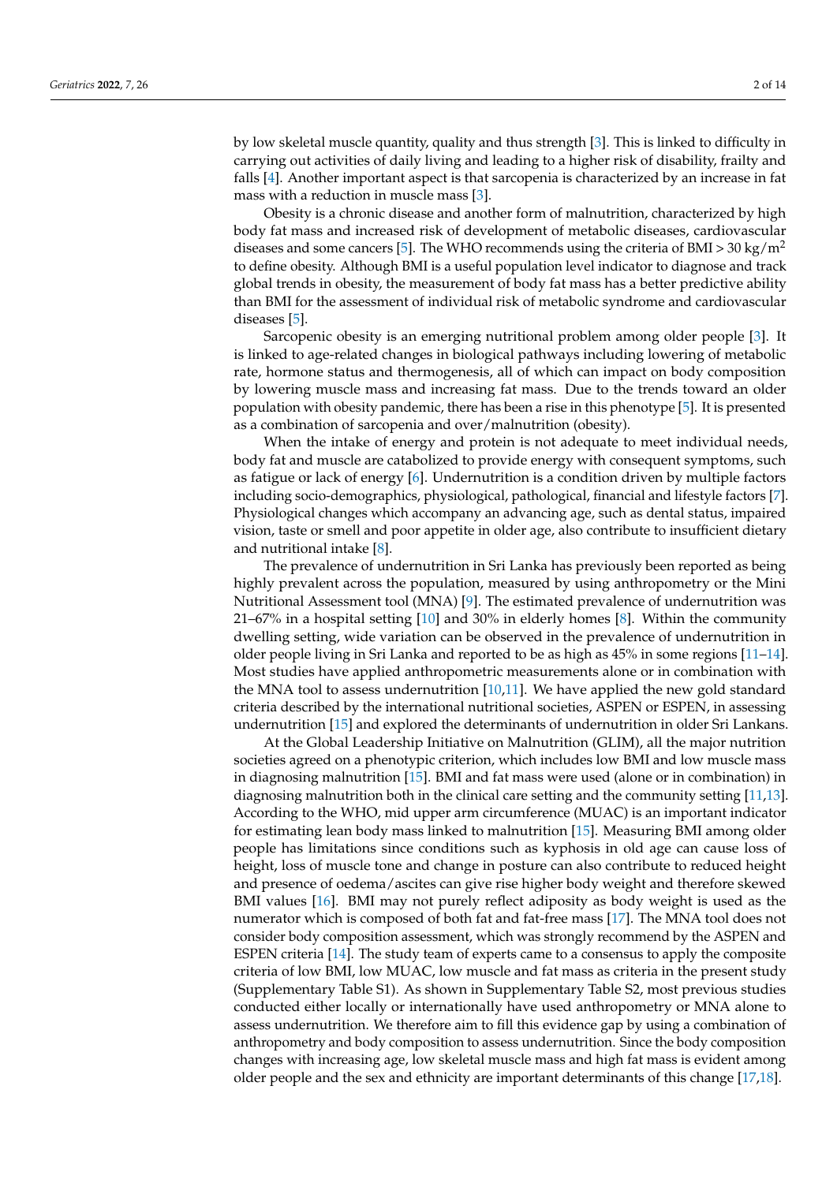by low skeletal muscle quantity, quality and thus strength [\[3\]](#page-12-2). This is linked to difficulty in carrying out activities of daily living and leading to a higher risk of disability, frailty and falls [\[4\]](#page-12-3). Another important aspect is that sarcopenia is characterized by an increase in fat mass with a reduction in muscle mass [\[3\]](#page-12-2).

Obesity is a chronic disease and another form of malnutrition, characterized by high body fat mass and increased risk of development of metabolic diseases, cardiovascular diseases and some cancers [\[5\]](#page-12-4). The WHO recommends using the criteria of BMI > 30 kg/m<sup>2</sup> to define obesity. Although BMI is a useful population level indicator to diagnose and track global trends in obesity, the measurement of body fat mass has a better predictive ability than BMI for the assessment of individual risk of metabolic syndrome and cardiovascular diseases [\[5\]](#page-12-4).

Sarcopenic obesity is an emerging nutritional problem among older people [\[3\]](#page-12-2). It is linked to age-related changes in biological pathways including lowering of metabolic rate, hormone status and thermogenesis, all of which can impact on body composition by lowering muscle mass and increasing fat mass. Due to the trends toward an older population with obesity pandemic, there has been a rise in this phenotype [\[5\]](#page-12-4). It is presented as a combination of sarcopenia and over/malnutrition (obesity).

When the intake of energy and protein is not adequate to meet individual needs, body fat and muscle are catabolized to provide energy with consequent symptoms, such as fatigue or lack of energy [\[6\]](#page-12-5). Undernutrition is a condition driven by multiple factors including socio-demographics, physiological, pathological, financial and lifestyle factors [\[7\]](#page-12-6). Physiological changes which accompany an advancing age, such as dental status, impaired vision, taste or smell and poor appetite in older age, also contribute to insufficient dietary and nutritional intake [\[8\]](#page-12-7).

The prevalence of undernutrition in Sri Lanka has previously been reported as being highly prevalent across the population, measured by using anthropometry or the Mini Nutritional Assessment tool (MNA) [\[9\]](#page-12-8). The estimated prevalence of undernutrition was 21–67% in a hospital setting [\[10\]](#page-12-9) and 30% in elderly homes [\[8\]](#page-12-7). Within the community dwelling setting, wide variation can be observed in the prevalence of undernutrition in older people living in Sri Lanka and reported to be as high as 45% in some regions [\[11](#page-12-10)[–14\]](#page-12-11). Most studies have applied anthropometric measurements alone or in combination with the MNA tool to assess undernutrition [\[10](#page-12-9)[,11\]](#page-12-10). We have applied the new gold standard criteria described by the international nutritional societies, ASPEN or ESPEN, in assessing undernutrition [\[15\]](#page-12-12) and explored the determinants of undernutrition in older Sri Lankans.

At the Global Leadership Initiative on Malnutrition (GLIM), all the major nutrition societies agreed on a phenotypic criterion, which includes low BMI and low muscle mass in diagnosing malnutrition [\[15\]](#page-12-12). BMI and fat mass were used (alone or in combination) in diagnosing malnutrition both in the clinical care setting and the community setting [\[11](#page-12-10)[,13\]](#page-12-13). According to the WHO, mid upper arm circumference (MUAC) is an important indicator for estimating lean body mass linked to malnutrition [\[15\]](#page-12-12). Measuring BMI among older people has limitations since conditions such as kyphosis in old age can cause loss of height, loss of muscle tone and change in posture can also contribute to reduced height and presence of oedema/ascites can give rise higher body weight and therefore skewed BMI values [\[16\]](#page-12-14). BMI may not purely reflect adiposity as body weight is used as the numerator which is composed of both fat and fat-free mass [\[17\]](#page-12-15). The MNA tool does not consider body composition assessment, which was strongly recommend by the ASPEN and ESPEN criteria [\[14\]](#page-12-11). The study team of experts came to a consensus to apply the composite criteria of low BMI, low MUAC, low muscle and fat mass as criteria in the present study (Supplementary Table S1). As shown in Supplementary Table S2, most previous studies conducted either locally or internationally have used anthropometry or MNA alone to assess undernutrition. We therefore aim to fill this evidence gap by using a combination of anthropometry and body composition to assess undernutrition. Since the body composition changes with increasing age, low skeletal muscle mass and high fat mass is evident among older people and the sex and ethnicity are important determinants of this change [\[17](#page-12-15)[,18\]](#page-12-16).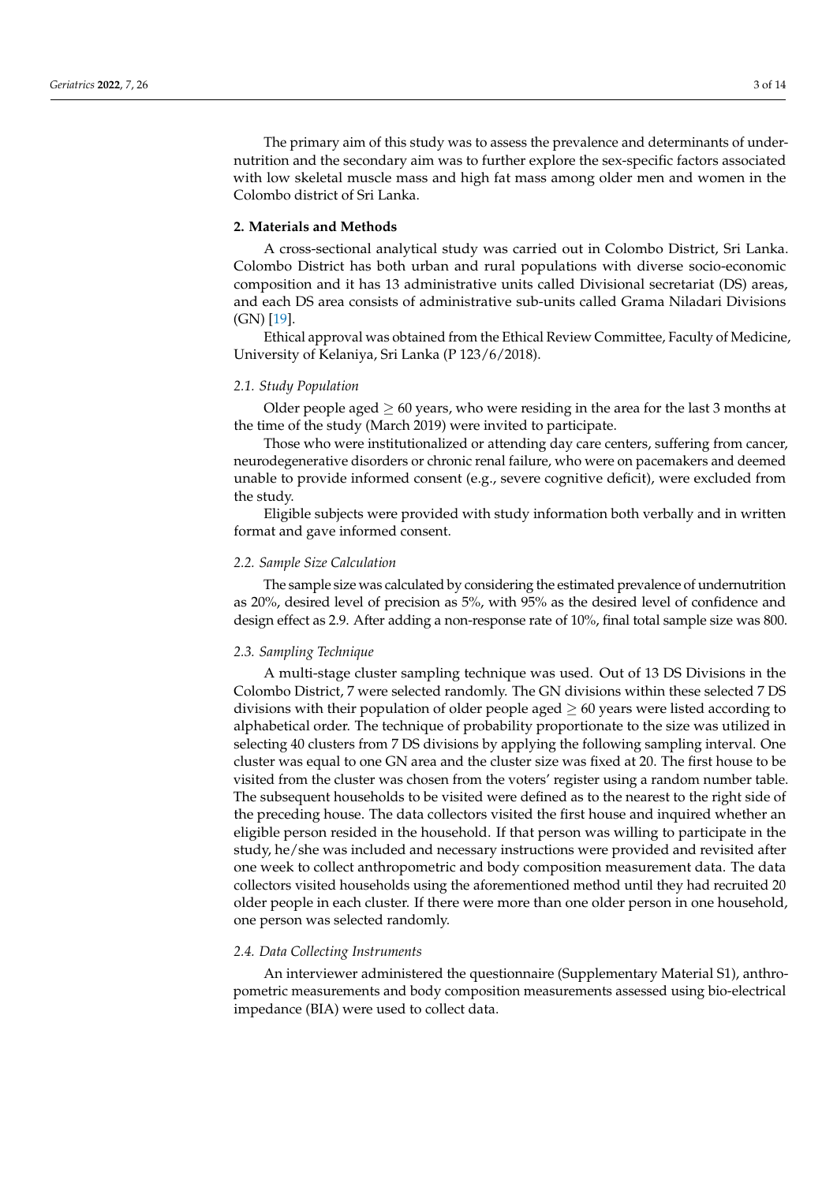The primary aim of this study was to assess the prevalence and determinants of undernutrition and the secondary aim was to further explore the sex-specific factors associated with low skeletal muscle mass and high fat mass among older men and women in the Colombo district of Sri Lanka.

#### **2. Materials and Methods**

A cross-sectional analytical study was carried out in Colombo District, Sri Lanka. Colombo District has both urban and rural populations with diverse socio-economic composition and it has 13 administrative units called Divisional secretariat (DS) areas, and each DS area consists of administrative sub-units called Grama Niladari Divisions (GN) [\[19\]](#page-12-17).

Ethical approval was obtained from the Ethical Review Committee, Faculty of Medicine, University of Kelaniya, Sri Lanka (P 123/6/2018).

#### *2.1. Study Population*

Older people aged  $\geq 60$  years, who were residing in the area for the last 3 months at the time of the study (March 2019) were invited to participate.

Those who were institutionalized or attending day care centers, suffering from cancer, neurodegenerative disorders or chronic renal failure, who were on pacemakers and deemed unable to provide informed consent (e.g., severe cognitive deficit), were excluded from the study.

Eligible subjects were provided with study information both verbally and in written format and gave informed consent.

# *2.2. Sample Size Calculation*

The sample size was calculated by considering the estimated prevalence of undernutrition as 20%, desired level of precision as 5%, with 95% as the desired level of confidence and design effect as 2.9. After adding a non-response rate of 10%, final total sample size was 800.

#### *2.3. Sampling Technique*

A multi-stage cluster sampling technique was used. Out of 13 DS Divisions in the Colombo District, 7 were selected randomly. The GN divisions within these selected 7 DS divisions with their population of older people aged  $\geq 60$  years were listed according to alphabetical order. The technique of probability proportionate to the size was utilized in selecting 40 clusters from 7 DS divisions by applying the following sampling interval. One cluster was equal to one GN area and the cluster size was fixed at 20. The first house to be visited from the cluster was chosen from the voters' register using a random number table. The subsequent households to be visited were defined as to the nearest to the right side of the preceding house. The data collectors visited the first house and inquired whether an eligible person resided in the household. If that person was willing to participate in the study, he/she was included and necessary instructions were provided and revisited after one week to collect anthropometric and body composition measurement data. The data collectors visited households using the aforementioned method until they had recruited 20 older people in each cluster. If there were more than one older person in one household, one person was selected randomly.

#### *2.4. Data Collecting Instruments*

An interviewer administered the questionnaire (Supplementary Material S1), anthropometric measurements and body composition measurements assessed using bio-electrical impedance (BIA) were used to collect data.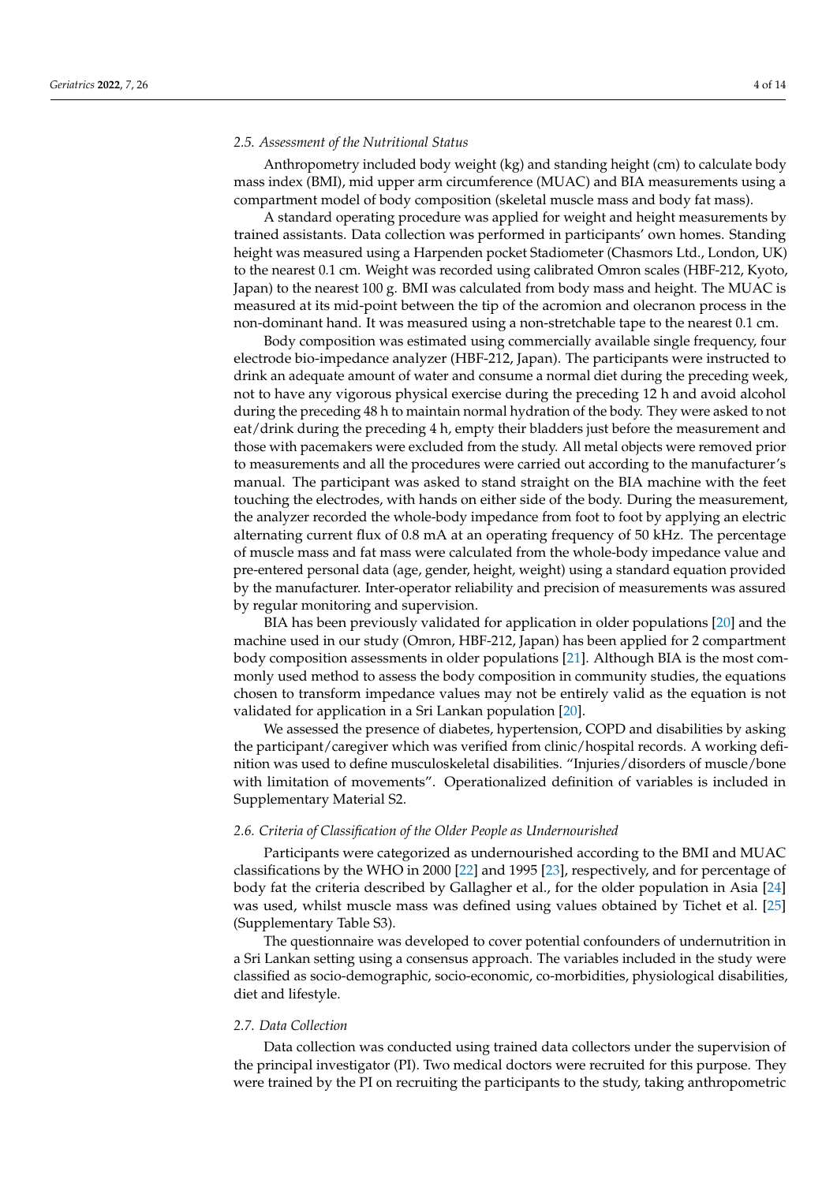#### *2.5. Assessment of the Nutritional Status*

Anthropometry included body weight (kg) and standing height (cm) to calculate body mass index (BMI), mid upper arm circumference (MUAC) and BIA measurements using a compartment model of body composition (skeletal muscle mass and body fat mass).

A standard operating procedure was applied for weight and height measurements by trained assistants. Data collection was performed in participants' own homes. Standing height was measured using a Harpenden pocket Stadiometer (Chasmors Ltd., London, UK) to the nearest 0.1 cm. Weight was recorded using calibrated Omron scales (HBF-212, Kyoto, Japan) to the nearest 100 g. BMI was calculated from body mass and height. The MUAC is measured at its mid-point between the tip of the acromion and olecranon process in the non-dominant hand. It was measured using a non-stretchable tape to the nearest 0.1 cm.

Body composition was estimated using commercially available single frequency, four electrode bio-impedance analyzer (HBF-212, Japan). The participants were instructed to drink an adequate amount of water and consume a normal diet during the preceding week, not to have any vigorous physical exercise during the preceding 12 h and avoid alcohol during the preceding 48 h to maintain normal hydration of the body. They were asked to not eat/drink during the preceding 4 h, empty their bladders just before the measurement and those with pacemakers were excluded from the study. All metal objects were removed prior to measurements and all the procedures were carried out according to the manufacturer's manual. The participant was asked to stand straight on the BIA machine with the feet touching the electrodes, with hands on either side of the body. During the measurement, the analyzer recorded the whole-body impedance from foot to foot by applying an electric alternating current flux of 0.8 mA at an operating frequency of 50 kHz. The percentage of muscle mass and fat mass were calculated from the whole-body impedance value and pre-entered personal data (age, gender, height, weight) using a standard equation provided by the manufacturer. Inter-operator reliability and precision of measurements was assured by regular monitoring and supervision.

BIA has been previously validated for application in older populations [\[20\]](#page-13-0) and the machine used in our study (Omron, HBF-212, Japan) has been applied for 2 compartment body composition assessments in older populations [\[21\]](#page-13-1). Although BIA is the most commonly used method to assess the body composition in community studies, the equations chosen to transform impedance values may not be entirely valid as the equation is not validated for application in a Sri Lankan population [\[20\]](#page-13-0).

We assessed the presence of diabetes, hypertension, COPD and disabilities by asking the participant/caregiver which was verified from clinic/hospital records. A working definition was used to define musculoskeletal disabilities. "Injuries/disorders of muscle/bone with limitation of movements". Operationalized definition of variables is included in Supplementary Material S2.

#### *2.6. Criteria of Classification of the Older People as Undernourished*

Participants were categorized as undernourished according to the BMI and MUAC classifications by the WHO in 2000 [\[22\]](#page-13-2) and 1995 [\[23\]](#page-13-3), respectively, and for percentage of body fat the criteria described by Gallagher et al., for the older population in Asia [\[24\]](#page-13-4) was used, whilst muscle mass was defined using values obtained by Tichet et al. [\[25\]](#page-13-5) (Supplementary Table S3).

The questionnaire was developed to cover potential confounders of undernutrition in a Sri Lankan setting using a consensus approach. The variables included in the study were classified as socio-demographic, socio-economic, co-morbidities, physiological disabilities, diet and lifestyle.

## *2.7. Data Collection*

Data collection was conducted using trained data collectors under the supervision of the principal investigator (PI). Two medical doctors were recruited for this purpose. They were trained by the PI on recruiting the participants to the study, taking anthropometric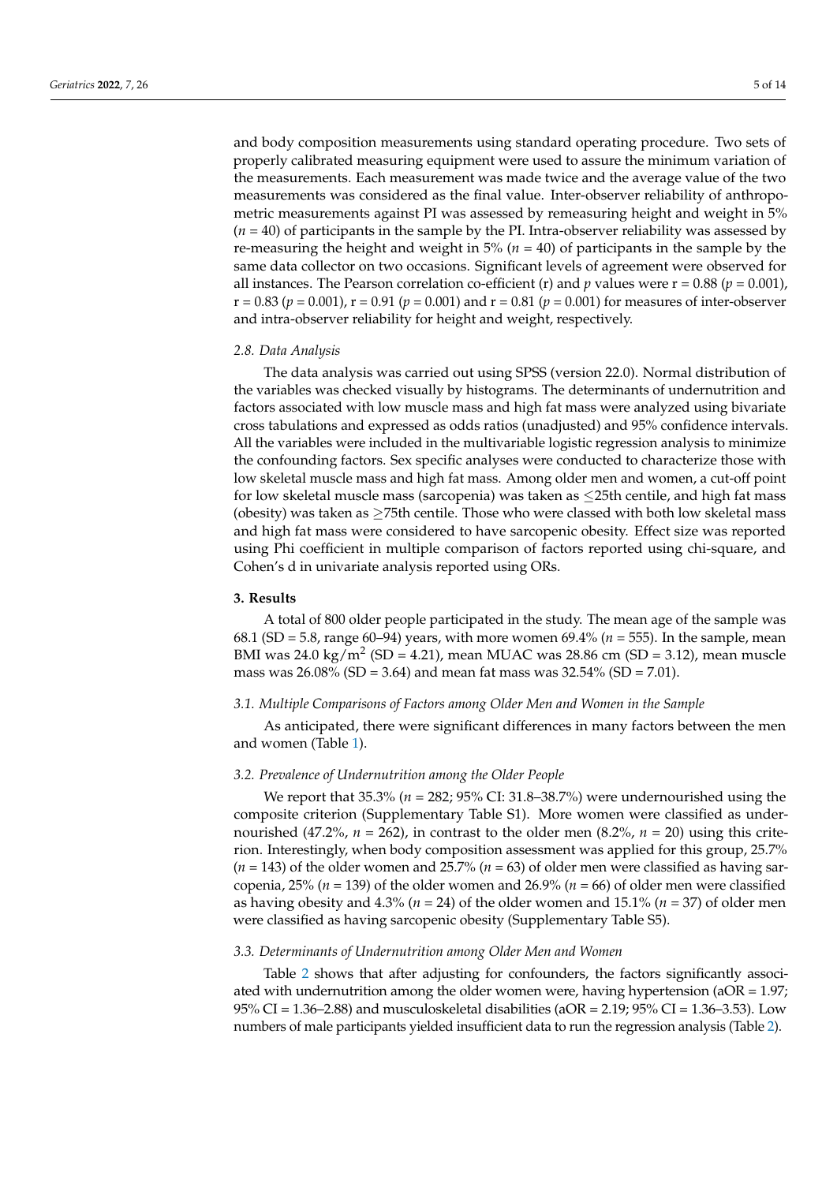and body composition measurements using standard operating procedure. Two sets of properly calibrated measuring equipment were used to assure the minimum variation of the measurements. Each measurement was made twice and the average value of the two measurements was considered as the final value. Inter-observer reliability of anthropometric measurements against PI was assessed by remeasuring height and weight in 5% (*n* = 40) of participants in the sample by the PI. Intra-observer reliability was assessed by re-measuring the height and weight in  $5\%$  ( $n = 40$ ) of participants in the sample by the same data collector on two occasions. Significant levels of agreement were observed for all instances. The Pearson correlation co-efficient (r) and  $p$  values were  $r = 0.88$  ( $p = 0.001$ ), r = 0.83 (*p* = 0.001), r = 0.91 (*p* = 0.001) and r = 0.81 (*p* = 0.001) for measures of inter-observer and intra-observer reliability for height and weight, respectively.

## *2.8. Data Analysis*

The data analysis was carried out using SPSS (version 22.0). Normal distribution of the variables was checked visually by histograms. The determinants of undernutrition and factors associated with low muscle mass and high fat mass were analyzed using bivariate cross tabulations and expressed as odds ratios (unadjusted) and 95% confidence intervals. All the variables were included in the multivariable logistic regression analysis to minimize the confounding factors. Sex specific analyses were conducted to characterize those with low skeletal muscle mass and high fat mass. Among older men and women, a cut-off point for low skeletal muscle mass (sarcopenia) was taken as ≤25th centile, and high fat mass (obesity) was taken as  $\geq$ 75th centile. Those who were classed with both low skeletal mass and high fat mass were considered to have sarcopenic obesity. Effect size was reported using Phi coefficient in multiple comparison of factors reported using chi-square, and Cohen's d in univariate analysis reported using ORs.

#### **3. Results**

A total of 800 older people participated in the study. The mean age of the sample was 68.1 (SD = 5.8, range 60–94) years, with more women 69.4% (*n* = 555). In the sample, mean BMI was  $24.0 \text{ kg/m}^2$  (SD = 4.21), mean MUAC was  $28.86 \text{ cm}$  (SD = 3.12), mean muscle mass was  $26.08\%$  (SD = 3.64) and mean fat mass was  $32.54\%$  (SD = 7.01).

#### *3.1. Multiple Comparisons of Factors among Older Men and Women in the Sample*

As anticipated, there were significant differences in many factors between the men and women (Table [1\)](#page-5-0).

#### *3.2. Prevalence of Undernutrition among the Older People*

We report that 35.3% (*n* = 282; 95% CI: 31.8–38.7%) were undernourished using the composite criterion (Supplementary Table S1). More women were classified as undernourished (47.2%,  $n = 262$ ), in contrast to the older men (8.2%,  $n = 20$ ) using this criterion. Interestingly, when body composition assessment was applied for this group, 25.7%  $(n = 143)$  of the older women and 25.7%  $(n = 63)$  of older men were classified as having sarcopenia, 25% (*n* = 139) of the older women and 26.9% (*n* = 66) of older men were classified as having obesity and 4.3% (*n* = 24) of the older women and 15.1% (*n* = 37) of older men were classified as having sarcopenic obesity (Supplementary Table S5).

#### *3.3. Determinants of Undernutrition among Older Men and Women*

Table [2](#page-6-0) shows that after adjusting for confounders, the factors significantly associated with undernutrition among the older women were, having hypertension (aOR = 1.97; 95% CI =  $1.36 - 2.88$ ) and musculoskeletal disabilities (aOR =  $2.19$ ; 95% CI =  $1.36 - 3.53$ ). Low numbers of male participants yielded insufficient data to run the regression analysis (Table [2\)](#page-6-0).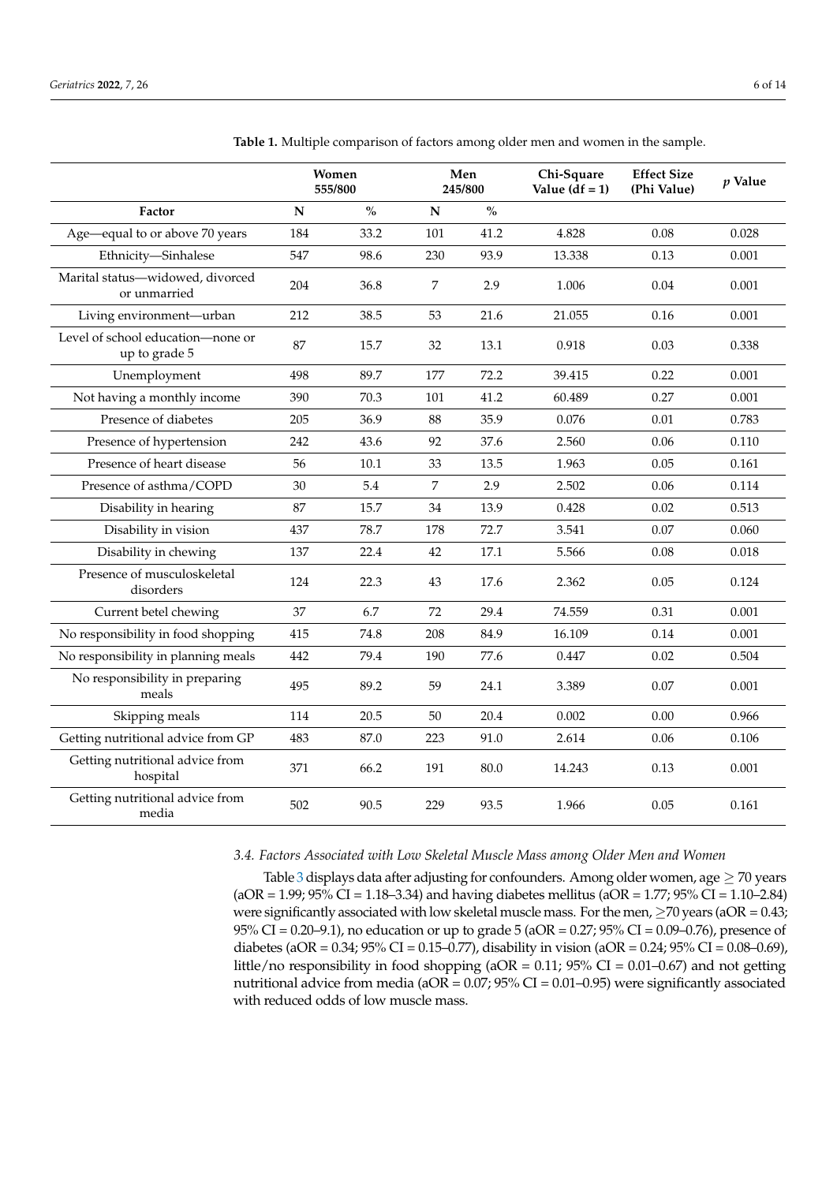|                                                    |     | Women<br>555/800 | Men<br>245/800 |               | Chi-Square<br>Value $(df = 1)$ | <b>Effect Size</b><br>(Phi Value) | $p$ Value |
|----------------------------------------------------|-----|------------------|----------------|---------------|--------------------------------|-----------------------------------|-----------|
| Factor                                             | N   | $\frac{1}{2}$    | ${\bf N}$      | $\frac{1}{2}$ |                                |                                   |           |
| Age-equal to or above 70 years                     | 184 | 33.2             | 101            | 41.2          | 4.828                          | 0.08                              | 0.028     |
| Ethnicity-Sinhalese                                | 547 | 98.6             | 230            | 93.9          | 13.338                         | 0.13                              | 0.001     |
| Marital status-widowed, divorced<br>or unmarried   | 204 | 36.8             | 7              | 2.9           | 1.006                          | 0.04                              | 0.001     |
| Living environment-urban                           | 212 | 38.5             | 53             | 21.6          | 21.055                         | 0.16                              | 0.001     |
| Level of school education-none or<br>up to grade 5 | 87  | 15.7             | 32             | 13.1          | 0.918                          | 0.03                              | 0.338     |
| Unemployment                                       | 498 | 89.7             | 177            | 72.2          | 39.415                         | 0.22                              | 0.001     |
| Not having a monthly income                        | 390 | 70.3             | 101            | 41.2          | 60.489                         | 0.27                              | 0.001     |
| Presence of diabetes                               | 205 | 36.9             | 88             | 35.9          | 0.076                          | 0.01                              | 0.783     |
| Presence of hypertension                           | 242 | 43.6             | 92             | 37.6          | 2.560                          | 0.06                              | 0.110     |
| Presence of heart disease                          | 56  | 10.1             | 33             | 13.5          | 1.963                          | 0.05                              | 0.161     |
| Presence of asthma/COPD                            | 30  | 5.4              | $\overline{7}$ | 2.9           | 2.502                          | 0.06                              | 0.114     |
| Disability in hearing                              | 87  | 15.7             | 34             | 13.9          | 0.428                          | 0.02                              | 0.513     |
| Disability in vision                               | 437 | 78.7             | 178            | 72.7          | 3.541                          | 0.07                              | 0.060     |
| Disability in chewing                              | 137 | 22.4             | 42             | 17.1          | 5.566                          | 0.08                              | 0.018     |
| Presence of musculoskeletal<br>disorders           | 124 | 22.3             | 43             | 17.6          | 2.362                          | 0.05                              | 0.124     |
| Current betel chewing                              | 37  | 6.7              | 72             | 29.4          | 74.559                         | 0.31                              | 0.001     |
| No responsibility in food shopping                 | 415 | 74.8             | 208            | 84.9          | 16.109                         | 0.14                              | 0.001     |
| No responsibility in planning meals                | 442 | 79.4             | 190            | 77.6          | 0.447                          | 0.02                              | 0.504     |
| No responsibility in preparing<br>meals            | 495 | 89.2             | 59             | 24.1          | 3.389                          | 0.07                              | 0.001     |
| Skipping meals                                     | 114 | 20.5             | 50             | 20.4          | 0.002                          | 0.00                              | 0.966     |
| Getting nutritional advice from GP                 | 483 | 87.0             | 223            | 91.0          | 2.614                          | 0.06                              | 0.106     |
| Getting nutritional advice from<br>hospital        | 371 | 66.2             | 191            | 80.0          | 14.243                         | 0.13                              | 0.001     |
| Getting nutritional advice from<br>media           | 502 | 90.5             | 229            | 93.5          | 1.966                          | 0.05                              | 0.161     |

<span id="page-5-0"></span>**Table 1.** Multiple comparison of factors among older men and women in the sample.

# *3.4. Factors Associated with Low Skeletal Muscle Mass among Older Men and Women*

Table [3](#page-7-0) displays data after adjusting for confounders. Among older women, age  $\geq$  70 years (aOR = 1.99; 95% CI = 1.18–3.34) and having diabetes mellitus (aOR = 1.77; 95% CI = 1.10–2.84) were significantly associated with low skeletal muscle mass. For the men,  $\geq$ 70 years (aOR = 0.43; 95% CI = 0.20–9.1), no education or up to grade 5 (aOR = 0.27; 95% CI = 0.09–0.76), presence of diabetes (aOR = 0.34; 95% CI = 0.15–0.77), disability in vision (aOR = 0.24; 95% CI = 0.08–0.69), little/no responsibility in food shopping ( $aOR = 0.11$ ;  $95\% CI = 0.01$ –0.67) and not getting nutritional advice from media (aOR = 0.07; 95% CI = 0.01–0.95) were significantly associated with reduced odds of low muscle mass.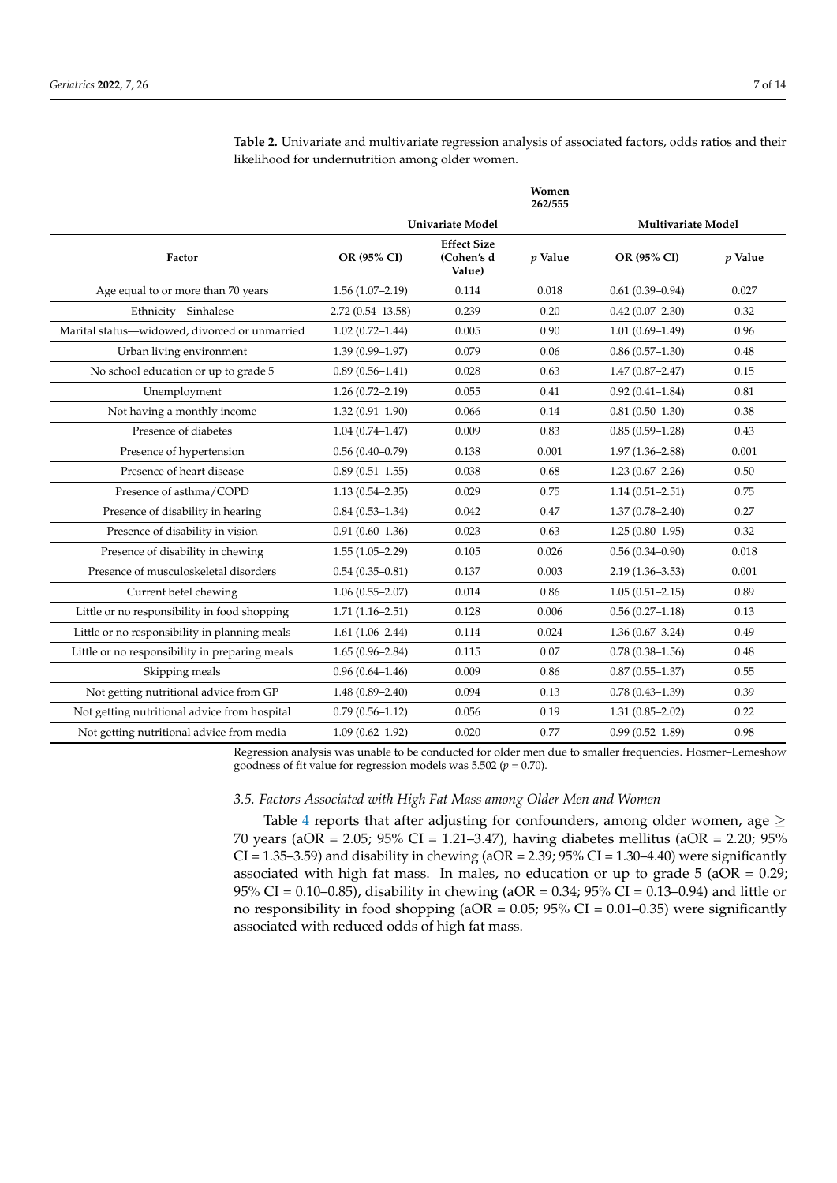|                                                |                      |                                            | Women<br>262/555 |                     |           |
|------------------------------------------------|----------------------|--------------------------------------------|------------------|---------------------|-----------|
|                                                |                      | <b>Univariate Model</b>                    |                  | Multivariate Model  |           |
| Factor                                         | OR (95% CI)          | <b>Effect Size</b><br>(Cohen's d<br>Value) | p Value          | OR (95% CI)         | $p$ Value |
| Age equal to or more than 70 years             | $1.56(1.07-2.19)$    | 0.114                                      | 0.018            | $0.61(0.39 - 0.94)$ | 0.027     |
| Ethnicity-Sinhalese                            | $2.72(0.54 - 13.58)$ | 0.239                                      | 0.20             | $0.42(0.07-2.30)$   | 0.32      |
| Marital status-widowed, divorced or unmarried  | $1.02(0.72 - 1.44)$  | 0.005                                      | 0.90             | $1.01(0.69 - 1.49)$ | 0.96      |
| Urban living environment                       | $1.39(0.99 - 1.97)$  | 0.079                                      | 0.06             | $0.86(0.57-1.30)$   | 0.48      |
| No school education or up to grade 5           | $0.89(0.56 - 1.41)$  | 0.028                                      | 0.63             | $1.47(0.87 - 2.47)$ | 0.15      |
| Unemployment                                   | $1.26(0.72 - 2.19)$  | 0.055                                      | 0.41             | $0.92(0.41 - 1.84)$ | 0.81      |
| Not having a monthly income                    | $1.32(0.91 - 1.90)$  | 0.066                                      | 0.14             | $0.81(0.50-1.30)$   | 0.38      |
| Presence of diabetes                           | $1.04(0.74 - 1.47)$  | 0.009                                      | 0.83             | $0.85(0.59-1.28)$   | 0.43      |
| Presence of hypertension                       | $0.56(0.40-0.79)$    | 0.138                                      | 0.001            | $1.97(1.36 - 2.88)$ | 0.001     |
| Presence of heart disease                      | $0.89(0.51-1.55)$    | 0.038                                      | 0.68             | $1.23(0.67 - 2.26)$ | 0.50      |
| Presence of asthma/COPD                        | $1.13(0.54 - 2.35)$  | 0.029                                      | 0.75             | $1.14(0.51 - 2.51)$ | 0.75      |
| Presence of disability in hearing              | $0.84(0.53 - 1.34)$  | 0.042                                      | 0.47             | $1.37(0.78 - 2.40)$ | 0.27      |
| Presence of disability in vision               | $0.91(0.60 - 1.36)$  | 0.023                                      | 0.63             | $1.25(0.80-1.95)$   | 0.32      |
| Presence of disability in chewing              | $1.55(1.05-2.29)$    | 0.105                                      | 0.026            | $0.56(0.34 - 0.90)$ | 0.018     |
| Presence of musculoskeletal disorders          | $0.54(0.35 - 0.81)$  | 0.137                                      | 0.003            | $2.19(1.36 - 3.53)$ | 0.001     |
| Current betel chewing                          | $1.06(0.55 - 2.07)$  | 0.014                                      | 0.86             | $1.05(0.51 - 2.15)$ | 0.89      |
| Little or no responsibility in food shopping   | $1.71(1.16-2.51)$    | 0.128                                      | 0.006            | $0.56(0.27-1.18)$   | 0.13      |
| Little or no responsibility in planning meals  | $1.61(1.06-2.44)$    | 0.114                                      | 0.024            | $1.36(0.67 - 3.24)$ | 0.49      |
| Little or no responsibility in preparing meals | $1.65(0.96 - 2.84)$  | 0.115                                      | 0.07             | $0.78(0.38 - 1.56)$ | 0.48      |
| Skipping meals                                 | $0.96(0.64 - 1.46)$  | 0.009                                      | 0.86             | $0.87(0.55 - 1.37)$ | 0.55      |
| Not getting nutritional advice from GP         | $1.48(0.89 - 2.40)$  | 0.094                                      | 0.13             | $0.78(0.43 - 1.39)$ | 0.39      |
| Not getting nutritional advice from hospital   | $0.79(0.56 - 1.12)$  | 0.056                                      | 0.19             | $1.31(0.85 - 2.02)$ | 0.22      |
| Not getting nutritional advice from media      | $1.09(0.62 - 1.92)$  | 0.020                                      | 0.77             | $0.99(0.52 - 1.89)$ | 0.98      |

<span id="page-6-0"></span>**Table 2.** Univariate and multivariate regression analysis of associated factors, odds ratios and their likelihood for undernutrition among older women.

Regression analysis was unable to be conducted for older men due to smaller frequencies. Hosmer–Lemeshow goodness of fit value for regression models was  $5.502 (p = 0.70)$ .

#### *3.5. Factors Associated with High Fat Mass among Older Men and Women*

Table [4](#page-8-0) reports that after adjusting for confounders, among older women, age  $\geq$ 70 years (aOR = 2.05; 95% CI = 1.21–3.47), having diabetes mellitus (aOR = 2.20; 95%  $CI = 1.35-3.59$ ) and disability in chewing (aOR = 2.39; 95% CI = 1.30-4.40) were significantly associated with high fat mass. In males, no education or up to grade  $5$  (aOR = 0.29; 95% CI = 0.10–0.85), disability in chewing (aOR = 0.34; 95% CI = 0.13–0.94) and little or no responsibility in food shopping ( $aOR = 0.05$ ;  $95\%$  CI = 0.01–0.35) were significantly associated with reduced odds of high fat mass.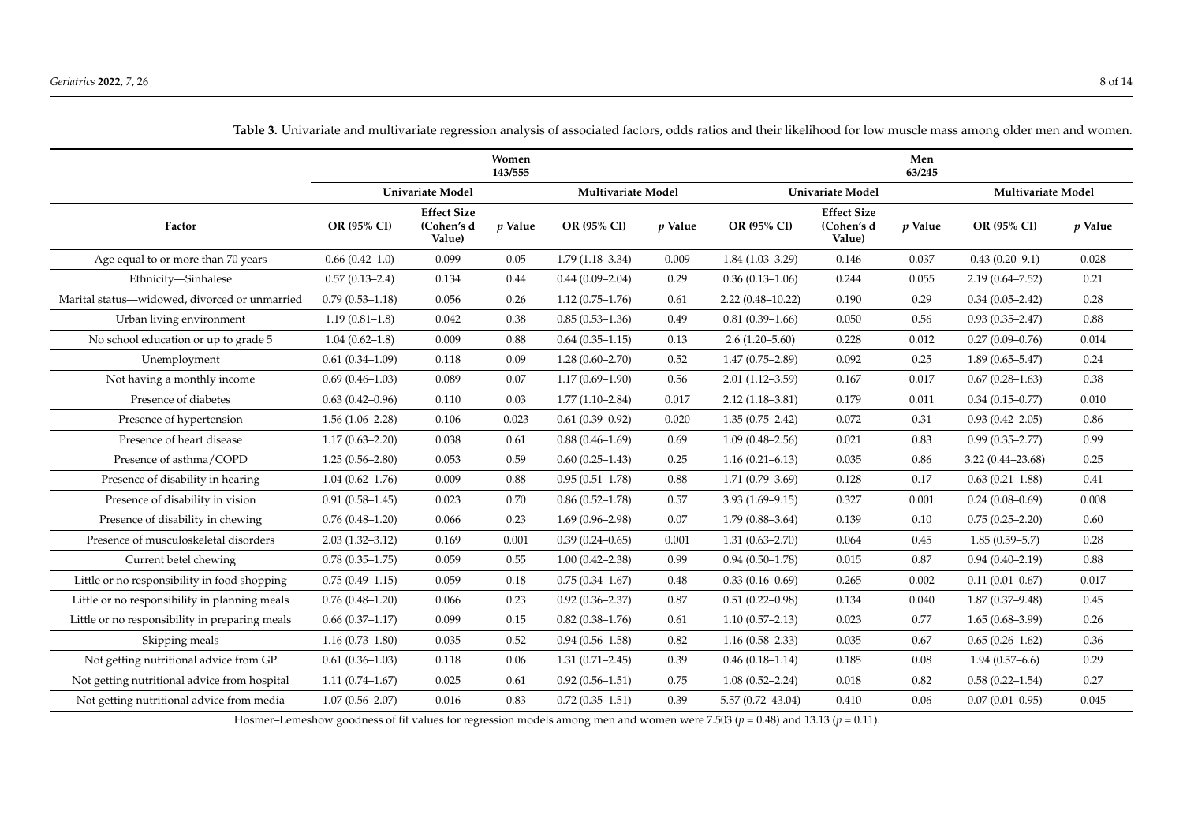|                                                |                     |                                            | Women<br>143/555 |                     |           |                      |                                            | Men<br>63/245 |                      |           |
|------------------------------------------------|---------------------|--------------------------------------------|------------------|---------------------|-----------|----------------------|--------------------------------------------|---------------|----------------------|-----------|
|                                                | Univariate Model    |                                            |                  | Multivariate Model  |           |                      | Univariate Model                           |               | Multivariate Model   |           |
| Factor                                         | OR (95% CI)         | <b>Effect Size</b><br>(Cohen's d<br>Value) | $p$ Value        | OR (95% CI)         | $p$ Value | OR (95% CI)          | <b>Effect Size</b><br>(Cohen's d<br>Value) | p Value       | OR (95% CI)          | $p$ Value |
| Age equal to or more than 70 years             | $0.66(0.42-1.0)$    | 0.099                                      | 0.05             | $1.79(1.18-3.34)$   | 0.009     | $1.84(1.03 - 3.29)$  | 0.146                                      | 0.037         | $0.43(0.20-9.1)$     | 0.028     |
| Ethnicity-Sinhalese                            | $0.57(0.13-2.4)$    | 0.134                                      | 0.44             | $0.44(0.09 - 2.04)$ | 0.29      | $0.36(0.13 - 1.06)$  | 0.244                                      | 0.055         | $2.19(0.64 - 7.52)$  | 0.21      |
| Marital status-widowed, divorced or unmarried  | $0.79(0.53 - 1.18)$ | 0.056                                      | 0.26             | $1.12(0.75-1.76)$   | 0.61      | $2.22(0.48 - 10.22)$ | 0.190                                      | 0.29          | $0.34(0.05-2.42)$    | 0.28      |
| Urban living environment                       | $1.19(0.81-1.8)$    | 0.042                                      | 0.38             | $0.85(0.53 - 1.36)$ | 0.49      | $0.81(0.39-1.66)$    | 0.050                                      | 0.56          | $0.93(0.35 - 2.47)$  | 0.88      |
| No school education or up to grade 5           | $1.04(0.62 - 1.8)$  | 0.009                                      | 0.88             | $0.64(0.35-1.15)$   | 0.13      | $2.6(1.20 - 5.60)$   | 0.228                                      | 0.012         | $0.27(0.09 - 0.76)$  | 0.014     |
| Unemployment                                   | $0.61(0.34 - 1.09)$ | 0.118                                      | 0.09             | $1.28(0.60-2.70)$   | 0.52      | $1.47(0.75-2.89)$    | 0.092                                      | 0.25          | $1.89(0.65 - 5.47)$  | 0.24      |
| Not having a monthly income                    | $0.69(0.46 - 1.03)$ | 0.089                                      | 0.07             | $1.17(0.69-1.90)$   | 0.56      | $2.01(1.12-3.59)$    | 0.167                                      | 0.017         | $0.67(0.28 - 1.63)$  | 0.38      |
| Presence of diabetes                           | $0.63(0.42 - 0.96)$ | 0.110                                      | 0.03             | $1.77(1.10-2.84)$   | 0.017     | $2.12(1.18 - 3.81)$  | 0.179                                      | 0.011         | $0.34(0.15 - 0.77)$  | 0.010     |
| Presence of hypertension                       | $1.56(1.06 - 2.28)$ | 0.106                                      | 0.023            | $0.61(0.39 - 0.92)$ | 0.020     | $1.35(0.75 - 2.42)$  | 0.072                                      | 0.31          | $0.93(0.42 - 2.05)$  | 0.86      |
| Presence of heart disease                      | $1.17(0.63 - 2.20)$ | 0.038                                      | 0.61             | $0.88(0.46 - 1.69)$ | 0.69      | $1.09(0.48 - 2.56)$  | 0.021                                      | 0.83          | $0.99(0.35 - 2.77)$  | 0.99      |
| Presence of asthma/COPD                        | $1.25(0.56 - 2.80)$ | 0.053                                      | 0.59             | $0.60(0.25-1.43)$   | 0.25      | $1.16(0.21 - 6.13)$  | 0.035                                      | 0.86          | $3.22(0.44 - 23.68)$ | 0.25      |
| Presence of disability in hearing              | $1.04(0.62 - 1.76)$ | 0.009                                      | 0.88             | $0.95(0.51 - 1.78)$ | 0.88      | $1.71(0.79 - 3.69)$  | 0.128                                      | 0.17          | $0.63(0.21 - 1.88)$  | 0.41      |
| Presence of disability in vision               | $0.91(0.58 - 1.45)$ | 0.023                                      | 0.70             | $0.86(0.52 - 1.78)$ | 0.57      | $3.93(1.69 - 9.15)$  | 0.327                                      | 0.001         | $0.24(0.08-0.69)$    | 0.008     |
| Presence of disability in chewing              | $0.76(0.48-1.20)$   | 0.066                                      | 0.23             | $1.69(0.96 - 2.98)$ | 0.07      | $1.79(0.88 - 3.64)$  | 0.139                                      | 0.10          | $0.75(0.25 - 2.20)$  | 0.60      |
| Presence of musculoskeletal disorders          | $2.03(1.32 - 3.12)$ | 0.169                                      | 0.001            | $0.39(0.24 - 0.65)$ | 0.001     | $1.31(0.63 - 2.70)$  | 0.064                                      | 0.45          | $1.85(0.59 - 5.7)$   | 0.28      |
| Current betel chewing                          | $0.78(0.35-1.75)$   | 0.059                                      | 0.55             | $1.00(0.42 - 2.38)$ | 0.99      | $0.94(0.50-1.78)$    | 0.015                                      | 0.87          | $0.94(0.40 - 2.19)$  | 0.88      |
| Little or no responsibility in food shopping   | $0.75(0.49-1.15)$   | 0.059                                      | 0.18             | $0.75(0.34 - 1.67)$ | 0.48      | $0.33(0.16 - 0.69)$  | 0.265                                      | 0.002         | $0.11(0.01 - 0.67)$  | 0.017     |
| Little or no responsibility in planning meals  | $0.76(0.48-1.20)$   | 0.066                                      | 0.23             | $0.92(0.36 - 2.37)$ | 0.87      | $0.51(0.22 - 0.98)$  | 0.134                                      | 0.040         | $1.87(0.37 - 9.48)$  | 0.45      |
| Little or no responsibility in preparing meals | $0.66(0.37-1.17)$   | 0.099                                      | 0.15             | $0.82(0.38 - 1.76)$ | 0.61      | $1.10(0.57-2.13)$    | 0.023                                      | 0.77          | $1.65(0.68 - 3.99)$  | 0.26      |
| Skipping meals                                 | $1.16(0.73 - 1.80)$ | 0.035                                      | 0.52             | $0.94(0.56 - 1.58)$ | 0.82      | $1.16(0.58-2.33)$    | 0.035                                      | 0.67          | $0.65(0.26 - 1.62)$  | 0.36      |
| Not getting nutritional advice from GP         | $0.61(0.36 - 1.03)$ | 0.118                                      | 0.06             | $1.31(0.71 - 2.45)$ | 0.39      | $0.46(0.18-1.14)$    | 0.185                                      | 0.08          | $1.94(0.57-6.6)$     | 0.29      |
| Not getting nutritional advice from hospital   | $1.11(0.74 - 1.67)$ | 0.025                                      | 0.61             | $0.92(0.56-1.51)$   | 0.75      | $1.08(0.52 - 2.24)$  | 0.018                                      | 0.82          | $0.58(0.22 - 1.54)$  | 0.27      |
| Not getting nutritional advice from media      | $1.07(0.56 - 2.07)$ | 0.016                                      | 0.83             | $0.72(0.35-1.51)$   | 0.39      | $5.57(0.72 - 43.04)$ | 0.410                                      | 0.06          | $0.07(0.01 - 0.95)$  | 0.045     |

**Table 3.** Univariate and multivariate regression analysis of associated factors, odds ratios and their likelihood for low muscle mass among older men and women.

<span id="page-7-0"></span>Hosmer–Lemeshow goodness of fit values for regression models among men and women were 7.503 (*p* = 0.48) and 13.13 (*p* = 0.11).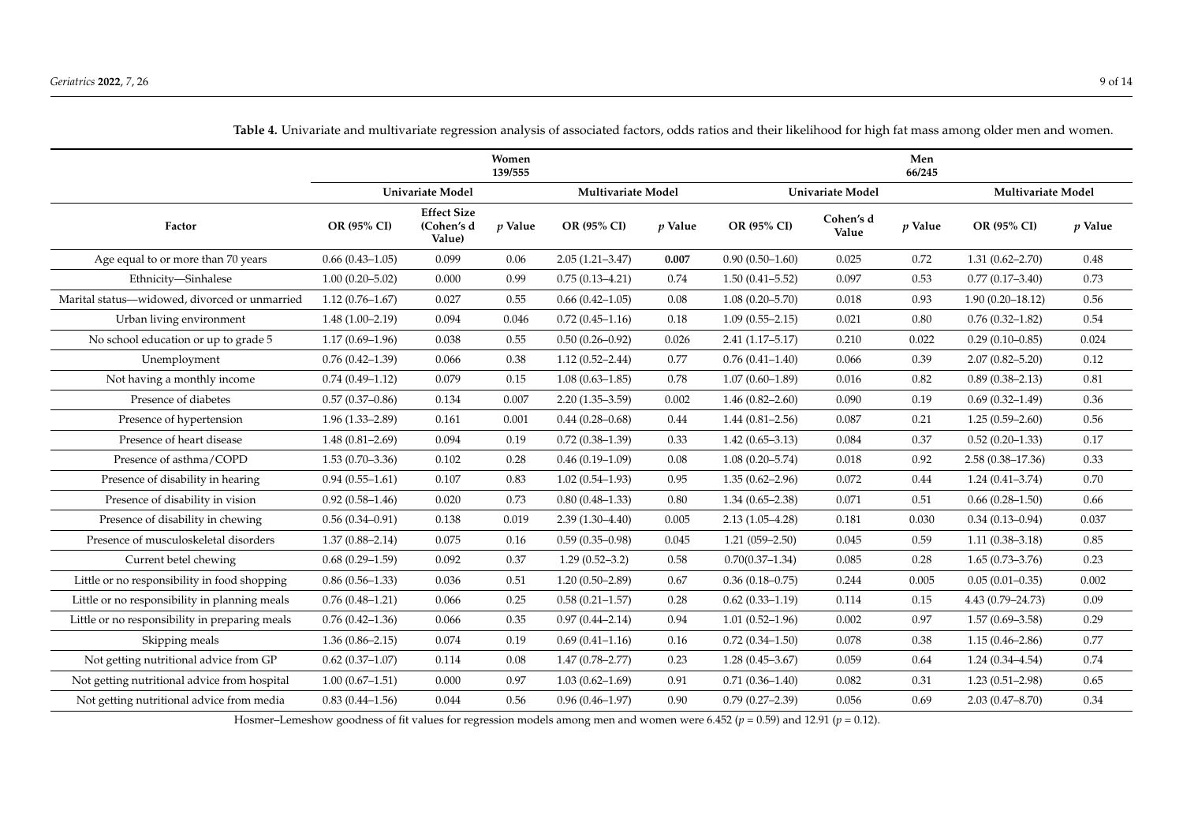|                                                |                     |                                            | Women<br>139/555 |                     |           |                         |                    | Men<br>66/245 |                      |           |
|------------------------------------------------|---------------------|--------------------------------------------|------------------|---------------------|-----------|-------------------------|--------------------|---------------|----------------------|-----------|
|                                                | Univariate Model    |                                            |                  | Multivariate Model  |           | <b>Univariate Model</b> |                    |               | Multivariate Model   |           |
| Factor                                         | OR (95% CI)         | <b>Effect Size</b><br>(Cohen's d<br>Value) | $p$ Value        | OR (95% CI)         | $p$ Value | OR (95% CI)             | Cohen's d<br>Value | $p$ Value     | OR (95% CI)          | $p$ Value |
| Age equal to or more than 70 years             | $0.66(0.43-1.05)$   | 0.099                                      | 0.06             | $2.05(1.21 - 3.47)$ | 0.007     | $0.90(0.50-1.60)$       | 0.025              | 0.72          | $1.31(0.62 - 2.70)$  | 0.48      |
| Ethnicity-Sinhalese                            | $1.00(0.20 - 5.02)$ | 0.000                                      | 0.99             | $0.75(0.13 - 4.21)$ | 0.74      | $1.50(0.41 - 5.52)$     | 0.097              | 0.53          | $0.77(0.17 - 3.40)$  | 0.73      |
| Marital status-widowed, divorced or unmarried  | $1.12(0.76 - 1.67)$ | 0.027                                      | 0.55             | $0.66(0.42 - 1.05)$ | 0.08      | $1.08(0.20 - 5.70)$     | 0.018              | 0.93          | $1.90(0.20 - 18.12)$ | 0.56      |
| Urban living environment                       | $1.48(1.00-2.19)$   | 0.094                                      | 0.046            | $0.72(0.45 - 1.16)$ | 0.18      | $1.09(0.55 - 2.15)$     | 0.021              | 0.80          | $0.76(0.32 - 1.82)$  | 0.54      |
| No school education or up to grade 5           | $1.17(0.69 - 1.96)$ | 0.038                                      | 0.55             | $0.50(0.26 - 0.92)$ | 0.026     | $2.41(1.17 - 5.17)$     | 0.210              | 0.022         | $0.29(0.10-0.85)$    | 0.024     |
| Unemployment                                   | $0.76(0.42 - 1.39)$ | 0.066                                      | 0.38             | $1.12(0.52 - 2.44)$ | 0.77      | $0.76(0.41 - 1.40)$     | 0.066              | 0.39          | $2.07(0.82 - 5.20)$  | 0.12      |
| Not having a monthly income                    | $0.74(0.49-1.12)$   | 0.079                                      | 0.15             | $1.08(0.63 - 1.85)$ | 0.78      | $1.07(0.60 - 1.89)$     | 0.016              | 0.82          | $0.89(0.38 - 2.13)$  | 0.81      |
| Presence of diabetes                           | $0.57(0.37-0.86)$   | 0.134                                      | 0.007            | $2.20(1.35-3.59)$   | 0.002     | $1.46(0.82 - 2.60)$     | 0.090              | 0.19          | $0.69(0.32 - 1.49)$  | 0.36      |
| Presence of hypertension                       | $1.96(1.33 - 2.89)$ | 0.161                                      | 0.001            | $0.44(0.28 - 0.68)$ | 0.44      | $1.44(0.81 - 2.56)$     | 0.087              | 0.21          | $1.25(0.59 - 2.60)$  | 0.56      |
| Presence of heart disease                      | $1.48(0.81 - 2.69)$ | 0.094                                      | 0.19             | $0.72(0.38-1.39)$   | 0.33      | $1.42(0.65 - 3.13)$     | 0.084              | 0.37          | $0.52(0.20-1.33)$    | 0.17      |
| Presence of asthma/COPD                        | $1.53(0.70-3.36)$   | 0.102                                      | 0.28             | $0.46(0.19-1.09)$   | $0.08\,$  | $1.08(0.20 - 5.74)$     | 0.018              | 0.92          | $2.58(0.38 - 17.36)$ | 0.33      |
| Presence of disability in hearing              | $0.94(0.55-1.61)$   | 0.107                                      | 0.83             | $1.02(0.54-1.93)$   | 0.95      | $1.35(0.62 - 2.96)$     | 0.072              | 0.44          | $1.24(0.41 - 3.74)$  | 0.70      |
| Presence of disability in vision               | $0.92(0.58 - 1.46)$ | 0.020                                      | 0.73             | $0.80(0.48 - 1.33)$ | 0.80      | $1.34(0.65 - 2.38)$     | 0.071              | 0.51          | $0.66(0.28-1.50)$    | 0.66      |
| Presence of disability in chewing              | $0.56(0.34 - 0.91)$ | 0.138                                      | 0.019            | $2.39(1.30-4.40)$   | 0.005     | $2.13(1.05-4.28)$       | 0.181              | 0.030         | $0.34(0.13 - 0.94)$  | 0.037     |
| Presence of musculoskeletal disorders          | $1.37(0.88 - 2.14)$ | 0.075                                      | 0.16             | $0.59(0.35 - 0.98)$ | 0.045     | $1.21(059 - 2.50)$      | 0.045              | 0.59          | $1.11(0.38 - 3.18)$  | 0.85      |
| Current betel chewing                          | $0.68(0.29-1.59)$   | 0.092                                      | 0.37             | $1.29(0.52 - 3.2)$  | 0.58      | $0.70(0.37-1.34)$       | 0.085              | 0.28          | $1.65(0.73 - 3.76)$  | 0.23      |
| Little or no responsibility in food shopping   | $0.86(0.56 - 1.33)$ | 0.036                                      | 0.51             | $1.20(0.50-2.89)$   | 0.67      | $0.36(0.18 - 0.75)$     | 0.244              | 0.005         | $0.05(0.01-0.35)$    | 0.002     |
| Little or no responsibility in planning meals  | $0.76(0.48-1.21)$   | 0.066                                      | 0.25             | $0.58(0.21 - 1.57)$ | 0.28      | $0.62(0.33 - 1.19)$     | 0.114              | 0.15          | 4.43 (0.79-24.73)    | 0.09      |
| Little or no responsibility in preparing meals | $0.76(0.42 - 1.36)$ | 0.066                                      | 0.35             | $0.97(0.44 - 2.14)$ | 0.94      | $1.01(0.52 - 1.96)$     | 0.002              | 0.97          | $1.57(0.69 - 3.58)$  | 0.29      |
| Skipping meals                                 | $1.36(0.86 - 2.15)$ | 0.074                                      | 0.19             | $0.69(0.41-1.16)$   | 0.16      | $0.72(0.34 - 1.50)$     | 0.078              | 0.38          | $1.15(0.46 - 2.86)$  | 0.77      |
| Not getting nutritional advice from GP         | $0.62(0.37-1.07)$   | 0.114                                      | 0.08             | $1.47(0.78 - 2.77)$ | 0.23      | $1.28(0.45 - 3.67)$     | 0.059              | 0.64          | $1.24(0.34 - 4.54)$  | 0.74      |
| Not getting nutritional advice from hospital   | $1.00(0.67-1.51)$   | 0.000                                      | 0.97             | $1.03(0.62 - 1.69)$ | 0.91      | $0.71(0.36 - 1.40)$     | 0.082              | 0.31          | $1.23(0.51 - 2.98)$  | 0.65      |
| Not getting nutritional advice from media      | $0.83(0.44 - 1.56)$ | 0.044                                      | 0.56             | $0.96(0.46 - 1.97)$ | 0.90      | $0.79(0.27 - 2.39)$     | 0.056              | 0.69          | $2.03(0.47 - 8.70)$  | 0.34      |

**Table 4.** Univariate and multivariate regression analysis of associated factors, odds ratios and their likelihood for high fat mass among older men and women.

<span id="page-8-0"></span>Hosmer–Lemeshow goodness of fit values for regression models among men and women were 6.452 (*p* = 0.59) and 12.91 (*p* = 0.12).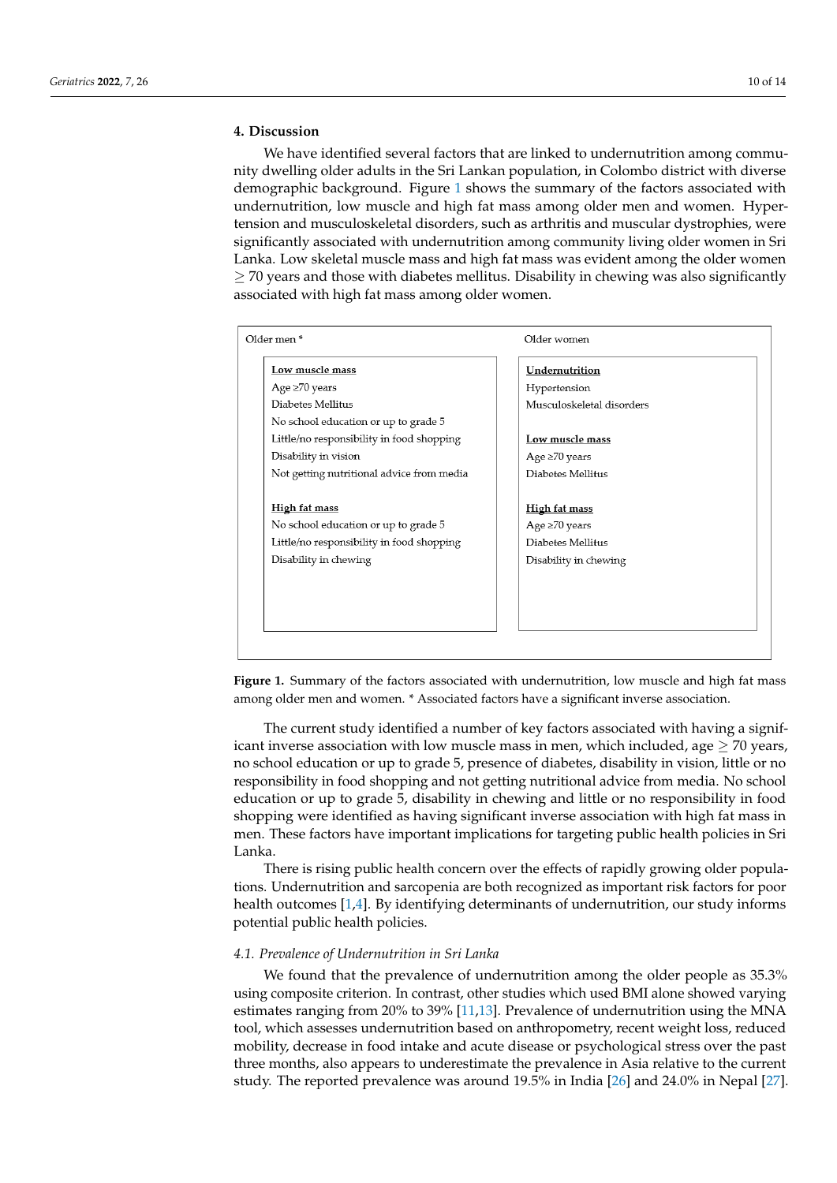# **4. Discussion 4. Discussion**

We have identified several factors that are linked to undernutrition among commu-We have identified several factors that are linked to undernutrition among community dwelling older adults in the Sri Lankan population, in Colombo district with diverse nity dwelling older adults in the Sri Lankan population, in Colombo district with diverse demographic background. Figure [1 sh](#page-9-0)ows the summary of the factors associated with undernutrition, low muscle and high fat mass among older men and women. Hypertension and musculoskeletal disorders, such as arthritis and muscular dystrophies, were significantly associated with undernutrition among community living older women in Sri Lanka. Low skeletal muscle mass and high fat mass was evident among the older women Lanka. Low skeletal muscle mass and high fat mass was evident among the older women  $\geq$  70 years and those with diabetes mellitus. Disability in chewing was also significantly associated with high fat mass among older women. associated with high fat mass among older women.

<span id="page-9-0"></span>

| Older men*                                | Older women               |  |  |  |  |  |
|-------------------------------------------|---------------------------|--|--|--|--|--|
| Low muscle mass                           | Undernutrition            |  |  |  |  |  |
| Age $\geq 70$ years                       | Hypertension              |  |  |  |  |  |
| Diabetes Mellitus                         | Musculoskeletal disorders |  |  |  |  |  |
| No school education or up to grade 5      |                           |  |  |  |  |  |
| Little/no responsibility in food shopping | Low muscle mass           |  |  |  |  |  |
| Disability in vision                      | Age $\geq 70$ years       |  |  |  |  |  |
| Not getting nutritional advice from media | Diabetes Mellitus         |  |  |  |  |  |
| <b>High fat mass</b>                      | <b>High fat mass</b>      |  |  |  |  |  |
| No school education or up to grade 5      | Age $\geq 70$ years       |  |  |  |  |  |
| Little/no responsibility in food shopping | Diabetes Mellitus         |  |  |  |  |  |
| Disability in chewing                     | Disability in chewing     |  |  |  |  |  |
|                                           |                           |  |  |  |  |  |
|                                           |                           |  |  |  |  |  |
|                                           |                           |  |  |  |  |  |
|                                           |                           |  |  |  |  |  |

**Figure 1.** Summary of the factors associated with undernutrition, low muscle and high fat mass **Figure 1.** Summary of the factors associated with undernutrition, low muscle and high fat mass among older men and women. \* Associated factors have a significant inverse association. among older men and women. \* Associated factors have a significant inverse association.

The current study identified a number of key factors associated with having a signif-The current study identified a number of key factors associated with having a significant inverse association with low muscle mass in men, which included, age  $\geq$  70 years, school education or up to grade 5, presence of diabetes, disability in vision, little or no no school education or up to grade 5, presence of diabetes, disability in vision, little or no responsibility in food shopping and not getting nutritional advice from media. No school responsibility in food shopping and not getting nutritional advice from media. No school education or up to grade 5, disability in chewing and little or no responsibility in food education or up to grade 5, disability in chewing and little or no responsibility in food shopping were identified as having significant inverse association with high fat mass in shopping were identified as having significant inverse association with high fat mass in men. These factors have important implications for targeting public health policies in Sri men. These factors have important implications for targeting public health policies in Sri Lanka. Lanka.

There is rising public health concern over the effects of rapidly growing older populalations. Undernutrition and sarcopenia are both recognized as important risk factors for tions. Undernutrition and sarcopenia are both recognized as important risk factors for poor health outcomes [\[1,](#page-12-0)[4\]](#page-12-3). By identifying determinants of undernutrition, our study informs potential public health policies.

# *4.1. Prevalence of Undernutrition in Sri Lanka 4.1. Prevalence of Undernutrition in Sri Lanka*

We found that the prevalence of undernutrition among the older people as 35.3% using composite criterion. In contrast, other studies which used BMI alone showed varying using composite criterion. In contrast, other studies which used BMI alone showed vary-estimates ranging from 20% to 39% [\[11,](#page-12-10)[13\]](#page-12-13). Prevalence of undernutrition using the MNA ing estimates ranging from 20% to 39% [11,13]. Prevalence of undernutrition using the tool, which assesses undernutrition based on anthropometry, recent weight loss, reduced MNA tool, which assesses undernutrition based on anthropometry, recent weight loss, mobility, decrease in food intake and acute disease or psychological stress over the past three months, also appears to underestimate the prevalence in Asia relative to the current study. The reported prevalence was around 19.5% in India [\[26\]](#page-13-6) and 24.0% in Nepal [\[27\]](#page-13-7). We found that the prevalence of undernutrition among the older people as 35.3%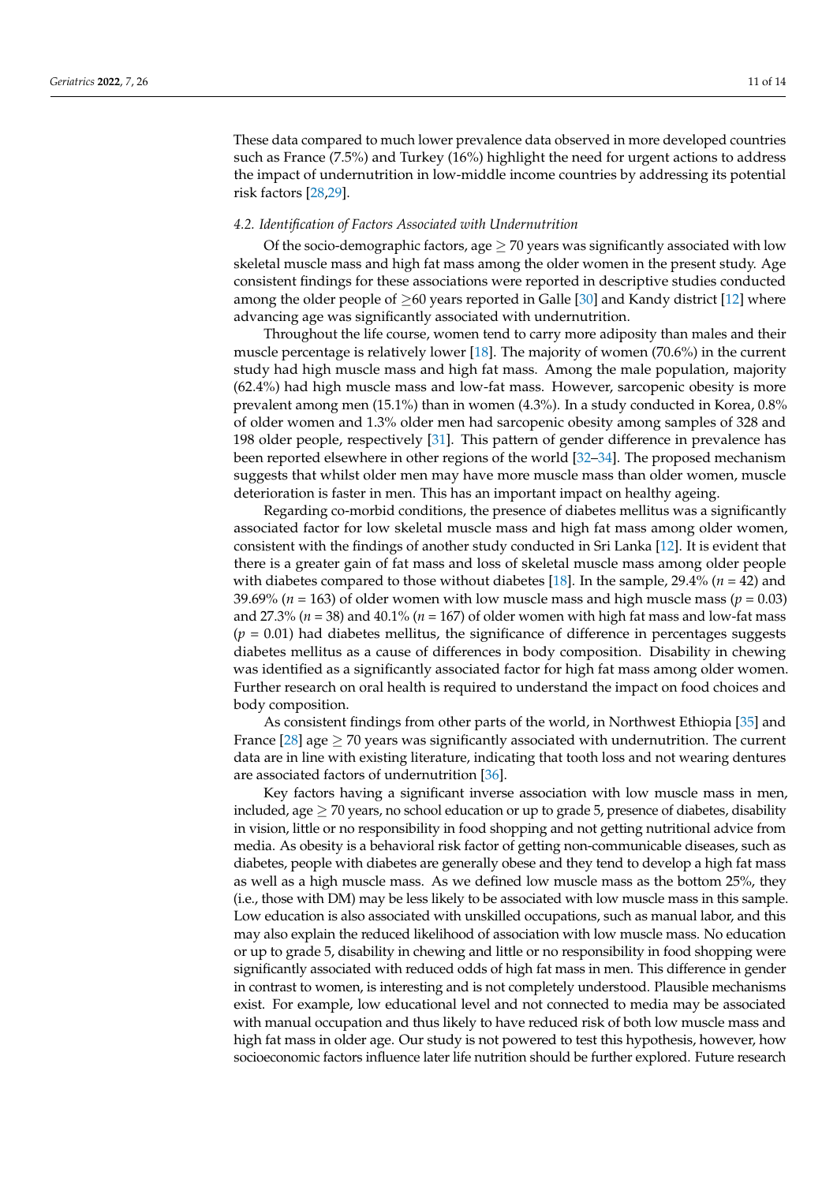These data compared to much lower prevalence data observed in more developed countries such as France (7.5%) and Turkey (16%) highlight the need for urgent actions to address the impact of undernutrition in low-middle income countries by addressing its potential risk factors [\[28](#page-13-8)[,29\]](#page-13-9).

#### *4.2. Identification of Factors Associated with Undernutrition*

Of the socio-demographic factors, age  $\geq$  70 years was significantly associated with low skeletal muscle mass and high fat mass among the older women in the present study. Age consistent findings for these associations were reported in descriptive studies conducted among the older people of  $\geq 60$  years reported in Galle [\[30\]](#page-13-10) and Kandy district [\[12\]](#page-12-18) where advancing age was significantly associated with undernutrition.

Throughout the life course, women tend to carry more adiposity than males and their muscle percentage is relatively lower [\[18\]](#page-12-16). The majority of women (70.6%) in the current study had high muscle mass and high fat mass. Among the male population, majority (62.4%) had high muscle mass and low-fat mass. However, sarcopenic obesity is more prevalent among men (15.1%) than in women (4.3%). In a study conducted in Korea, 0.8% of older women and 1.3% older men had sarcopenic obesity among samples of 328 and 198 older people, respectively [\[31\]](#page-13-11). This pattern of gender difference in prevalence has been reported elsewhere in other regions of the world [\[32–](#page-13-12)[34\]](#page-13-13). The proposed mechanism suggests that whilst older men may have more muscle mass than older women, muscle deterioration is faster in men. This has an important impact on healthy ageing.

Regarding co-morbid conditions, the presence of diabetes mellitus was a significantly associated factor for low skeletal muscle mass and high fat mass among older women, consistent with the findings of another study conducted in Sri Lanka [\[12\]](#page-12-18). It is evident that there is a greater gain of fat mass and loss of skeletal muscle mass among older people with diabetes compared to those without diabetes [\[18\]](#page-12-16). In the sample, 29.4% ( $n = 42$ ) and 39.69% ( $n = 163$ ) of older women with low muscle mass and high muscle mass ( $p = 0.03$ ) and 27.3% (*n* = 38) and 40.1% (*n* = 167) of older women with high fat mass and low-fat mass  $(p = 0.01)$  had diabetes mellitus, the significance of difference in percentages suggests diabetes mellitus as a cause of differences in body composition. Disability in chewing was identified as a significantly associated factor for high fat mass among older women. Further research on oral health is required to understand the impact on food choices and body composition.

As consistent findings from other parts of the world, in Northwest Ethiopia [\[35\]](#page-13-14) and France [\[28\]](#page-13-8) age  $\geq$  70 years was significantly associated with undernutrition. The current data are in line with existing literature, indicating that tooth loss and not wearing dentures are associated factors of undernutrition [\[36\]](#page-13-15).

Key factors having a significant inverse association with low muscle mass in men, included, age  $\geq$  70 years, no school education or up to grade 5, presence of diabetes, disability in vision, little or no responsibility in food shopping and not getting nutritional advice from media. As obesity is a behavioral risk factor of getting non-communicable diseases, such as diabetes, people with diabetes are generally obese and they tend to develop a high fat mass as well as a high muscle mass. As we defined low muscle mass as the bottom 25%, they (i.e., those with DM) may be less likely to be associated with low muscle mass in this sample. Low education is also associated with unskilled occupations, such as manual labor, and this may also explain the reduced likelihood of association with low muscle mass. No education or up to grade 5, disability in chewing and little or no responsibility in food shopping were significantly associated with reduced odds of high fat mass in men. This difference in gender in contrast to women, is interesting and is not completely understood. Plausible mechanisms exist. For example, low educational level and not connected to media may be associated with manual occupation and thus likely to have reduced risk of both low muscle mass and high fat mass in older age. Our study is not powered to test this hypothesis, however, how socioeconomic factors influence later life nutrition should be further explored. Future research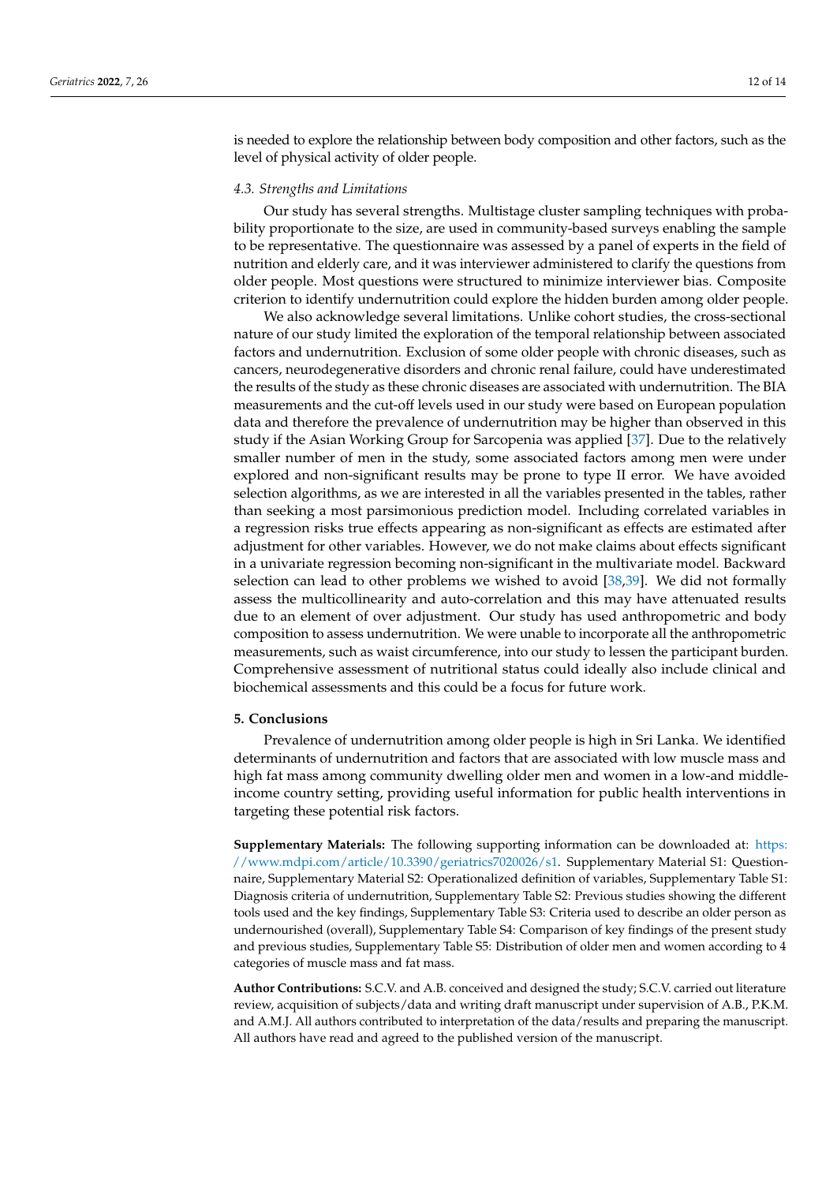is needed to explore the relationship between body composition and other factors, such as the level of physical activity of older people.

#### *4.3. Strengths and Limitations*

Our study has several strengths. Multistage cluster sampling techniques with probability proportionate to the size, are used in community-based surveys enabling the sample to be representative. The questionnaire was assessed by a panel of experts in the field of nutrition and elderly care, and it was interviewer administered to clarify the questions from older people. Most questions were structured to minimize interviewer bias. Composite criterion to identify undernutrition could explore the hidden burden among older people.

We also acknowledge several limitations. Unlike cohort studies, the cross-sectional nature of our study limited the exploration of the temporal relationship between associated factors and undernutrition. Exclusion of some older people with chronic diseases, such as cancers, neurodegenerative disorders and chronic renal failure, could have underestimated the results of the study as these chronic diseases are associated with undernutrition. The BIA measurements and the cut-off levels used in our study were based on European population data and therefore the prevalence of undernutrition may be higher than observed in this study if the Asian Working Group for Sarcopenia was applied [\[37\]](#page-13-16). Due to the relatively smaller number of men in the study, some associated factors among men were under explored and non-significant results may be prone to type II error. We have avoided selection algorithms, as we are interested in all the variables presented in the tables, rather than seeking a most parsimonious prediction model. Including correlated variables in a regression risks true effects appearing as non-significant as effects are estimated after adjustment for other variables. However, we do not make claims about effects significant in a univariate regression becoming non-significant in the multivariate model. Backward selection can lead to other problems we wished to avoid [\[38,](#page-13-17)[39\]](#page-13-18). We did not formally assess the multicollinearity and auto-correlation and this may have attenuated results due to an element of over adjustment. Our study has used anthropometric and body composition to assess undernutrition. We were unable to incorporate all the anthropometric measurements, such as waist circumference, into our study to lessen the participant burden. Comprehensive assessment of nutritional status could ideally also include clinical and biochemical assessments and this could be a focus for future work.

# **5. Conclusions**

Prevalence of undernutrition among older people is high in Sri Lanka. We identified determinants of undernutrition and factors that are associated with low muscle mass and high fat mass among community dwelling older men and women in a low-and middleincome country setting, providing useful information for public health interventions in targeting these potential risk factors.

**Supplementary Materials:** The following supporting information can be downloaded at: [https:](https://www.mdpi.com/article/10.3390/geriatrics7020026/s1) [//www.mdpi.com/article/10.3390/geriatrics7020026/s1.](https://www.mdpi.com/article/10.3390/geriatrics7020026/s1) Supplementary Material S1: Questionnaire, Supplementary Material S2: Operationalized definition of variables, Supplementary Table S1: Diagnosis criteria of undernutrition, Supplementary Table S2: Previous studies showing the different tools used and the key findings, Supplementary Table S3: Criteria used to describe an older person as undernourished (overall), Supplementary Table S4: Comparison of key findings of the present study and previous studies, Supplementary Table S5: Distribution of older men and women according to 4 categories of muscle mass and fat mass.

**Author Contributions:** S.C.V. and A.B. conceived and designed the study; S.C.V. carried out literature review, acquisition of subjects/data and writing draft manuscript under supervision of A.B., P.K.M. and A.M.J. All authors contributed to interpretation of the data/results and preparing the manuscript. All authors have read and agreed to the published version of the manuscript.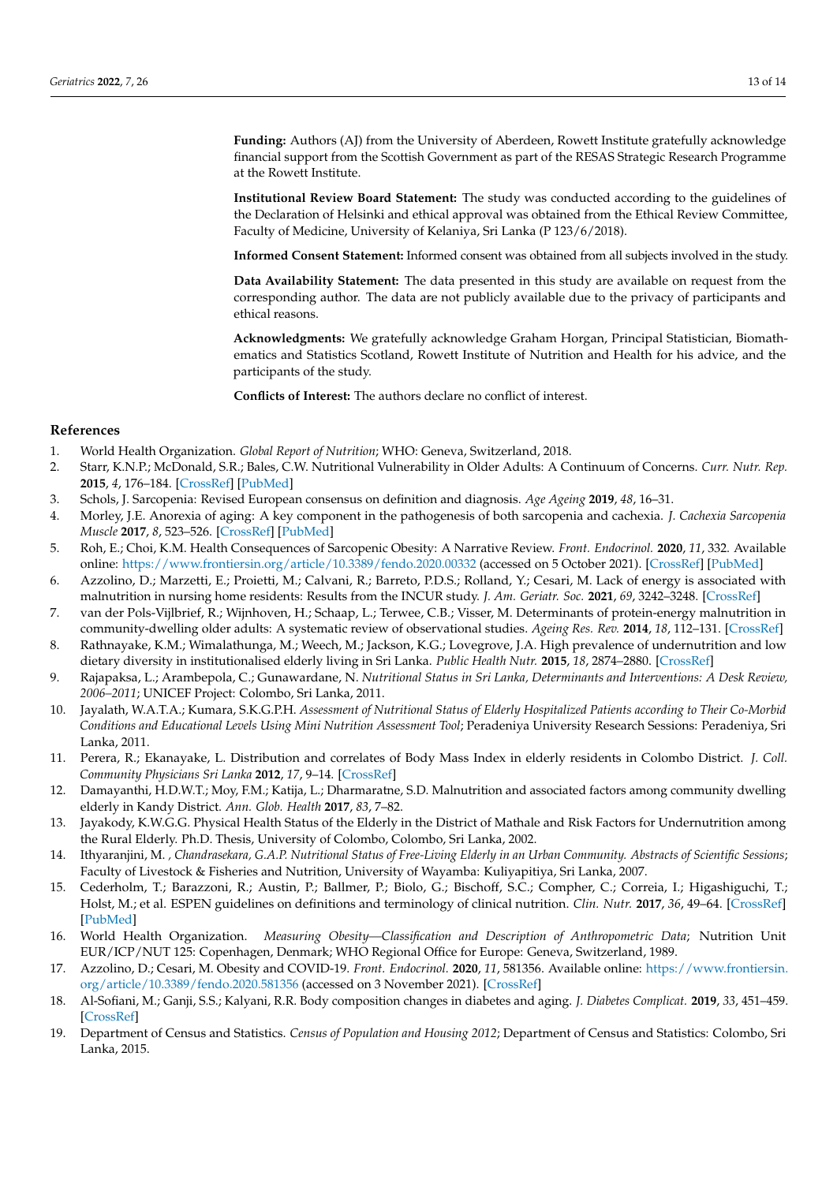**Funding:** Authors (AJ) from the University of Aberdeen, Rowett Institute gratefully acknowledge financial support from the Scottish Government as part of the RESAS Strategic Research Programme at the Rowett Institute.

**Institutional Review Board Statement:** The study was conducted according to the guidelines of the Declaration of Helsinki and ethical approval was obtained from the Ethical Review Committee, Faculty of Medicine, University of Kelaniya, Sri Lanka (P 123/6/2018).

**Informed Consent Statement:** Informed consent was obtained from all subjects involved in the study.

**Data Availability Statement:** The data presented in this study are available on request from the corresponding author. The data are not publicly available due to the privacy of participants and ethical reasons.

**Acknowledgments:** We gratefully acknowledge Graham Horgan, Principal Statistician, Biomathematics and Statistics Scotland, Rowett Institute of Nutrition and Health for his advice, and the participants of the study.

**Conflicts of Interest:** The authors declare no conflict of interest.

# **References**

- <span id="page-12-0"></span>1. World Health Organization. *Global Report of Nutrition*; WHO: Geneva, Switzerland, 2018.
- <span id="page-12-1"></span>2. Starr, K.N.P.; McDonald, S.R.; Bales, C.W. Nutritional Vulnerability in Older Adults: A Continuum of Concerns. *Curr. Nutr. Rep.* **2015**, *4*, 176–184. [\[CrossRef\]](http://doi.org/10.1007/s13668-015-0118-6) [\[PubMed\]](http://www.ncbi.nlm.nih.gov/pubmed/26042189)
- <span id="page-12-2"></span>3. Schols, J. Sarcopenia: Revised European consensus on definition and diagnosis. *Age Ageing* **2019**, *48*, 16–31.
- <span id="page-12-3"></span>4. Morley, J.E. Anorexia of aging: A key component in the pathogenesis of both sarcopenia and cachexia. *J. Cachexia Sarcopenia Muscle* **2017**, *8*, 523–526. [\[CrossRef\]](http://doi.org/10.1002/jcsm.12192) [\[PubMed\]](http://www.ncbi.nlm.nih.gov/pubmed/28452130)
- <span id="page-12-4"></span>5. Roh, E.; Choi, K.M. Health Consequences of Sarcopenic Obesity: A Narrative Review. *Front. Endocrinol.* **2020**, *11*, 332. Available online: <https://www.frontiersin.org/article/10.3389/fendo.2020.00332> (accessed on 5 October 2021). [\[CrossRef\]](http://doi.org/10.3389/fendo.2020.00332) [\[PubMed\]](http://www.ncbi.nlm.nih.gov/pubmed/32508753)
- <span id="page-12-5"></span>6. Azzolino, D.; Marzetti, E.; Proietti, M.; Calvani, R.; Barreto, P.D.S.; Rolland, Y.; Cesari, M. Lack of energy is associated with malnutrition in nursing home residents: Results from the INCUR study. *J. Am. Geriatr. Soc.* **2021**, *69*, 3242–3248. [\[CrossRef\]](http://doi.org/10.1111/jgs.17393)
- <span id="page-12-6"></span>7. van der Pols-Vijlbrief, R.; Wijnhoven, H.; Schaap, L.; Terwee, C.B.; Visser, M. Determinants of protein-energy malnutrition in community-dwelling older adults: A systematic review of observational studies. *Ageing Res. Rev.* **2014**, *18*, 112–131. [\[CrossRef\]](http://doi.org/10.1016/j.arr.2014.09.001)
- <span id="page-12-7"></span>8. Rathnayake, K.M.; Wimalathunga, M.; Weech, M.; Jackson, K.G.; Lovegrove, J.A. High prevalence of undernutrition and low dietary diversity in institutionalised elderly living in Sri Lanka. *Public Health Nutr.* **2015**, *18*, 2874–2880. [\[CrossRef\]](http://doi.org/10.1017/S1368980015000749)
- <span id="page-12-8"></span>9. Rajapaksa, L.; Arambepola, C.; Gunawardane, N. *Nutritional Status in Sri Lanka, Determinants and Interventions: A Desk Review, 2006–2011*; UNICEF Project: Colombo, Sri Lanka, 2011.
- <span id="page-12-9"></span>10. Jayalath, W.A.T.A.; Kumara, S.K.G.P.H. *Assessment of Nutritional Status of Elderly Hospitalized Patients according to Their Co-Morbid Conditions and Educational Levels Using Mini Nutrition Assessment Tool*; Peradeniya University Research Sessions: Peradeniya, Sri Lanka, 2011.
- <span id="page-12-10"></span>11. Perera, R.; Ekanayake, L. Distribution and correlates of Body Mass Index in elderly residents in Colombo District. *J. Coll. Community Physicians Sri Lanka* **2012**, *17*, 9–14. [\[CrossRef\]](http://doi.org/10.4038/jccpsl.v17i1.4930)
- <span id="page-12-18"></span>12. Damayanthi, H.D.W.T.; Moy, F.M.; Katija, L.; Dharmaratne, S.D. Malnutrition and associated factors among community dwelling elderly in Kandy District. *Ann. Glob. Health* **2017**, *83*, 7–82.
- <span id="page-12-13"></span>13. Jayakody, K.W.G.G. Physical Health Status of the Elderly in the District of Mathale and Risk Factors for Undernutrition among the Rural Elderly. Ph.D. Thesis, University of Colombo, Colombo, Sri Lanka, 2002.
- <span id="page-12-11"></span>14. Ithyaranjini, M. *, Chandrasekara, G.A.P. Nutritional Status of Free-Living Elderly in an Urban Community. Abstracts of Scientific Sessions*; Faculty of Livestock & Fisheries and Nutrition, University of Wayamba: Kuliyapitiya, Sri Lanka, 2007.
- <span id="page-12-12"></span>15. Cederholm, T.; Barazzoni, R.; Austin, P.; Ballmer, P.; Biolo, G.; Bischoff, S.C.; Compher, C.; Correia, I.; Higashiguchi, T.; Holst, M.; et al. ESPEN guidelines on definitions and terminology of clinical nutrition. *Clin. Nutr.* **2017**, *36*, 49–64. [\[CrossRef\]](http://doi.org/10.1016/j.clnu.2016.09.004) [\[PubMed\]](http://www.ncbi.nlm.nih.gov/pubmed/27642056)
- <span id="page-12-14"></span>16. World Health Organization. *Measuring Obesity—Classification and Description of Anthropometric Data*; Nutrition Unit EUR/ICP/NUT 125: Copenhagen, Denmark; WHO Regional Office for Europe: Geneva, Switzerland, 1989.
- <span id="page-12-15"></span>17. Azzolino, D.; Cesari, M. Obesity and COVID-19. *Front. Endocrinol.* **2020**, *11*, 581356. Available online: [https://www.frontiersin.](https://www.frontiersin.org/article/10.3389/fendo.2020.581356) [org/article/10.3389/fendo.2020.581356](https://www.frontiersin.org/article/10.3389/fendo.2020.581356) (accessed on 3 November 2021). [\[CrossRef\]](http://doi.org/10.3389/fendo.2020.581356)
- <span id="page-12-16"></span>18. Al-Sofiani, M.; Ganji, S.S.; Kalyani, R.R. Body composition changes in diabetes and aging. *J. Diabetes Complicat.* **2019**, *33*, 451–459. [\[CrossRef\]](http://doi.org/10.1016/j.jdiacomp.2019.03.007)
- <span id="page-12-17"></span>19. Department of Census and Statistics. *Census of Population and Housing 2012*; Department of Census and Statistics: Colombo, Sri Lanka, 2015.